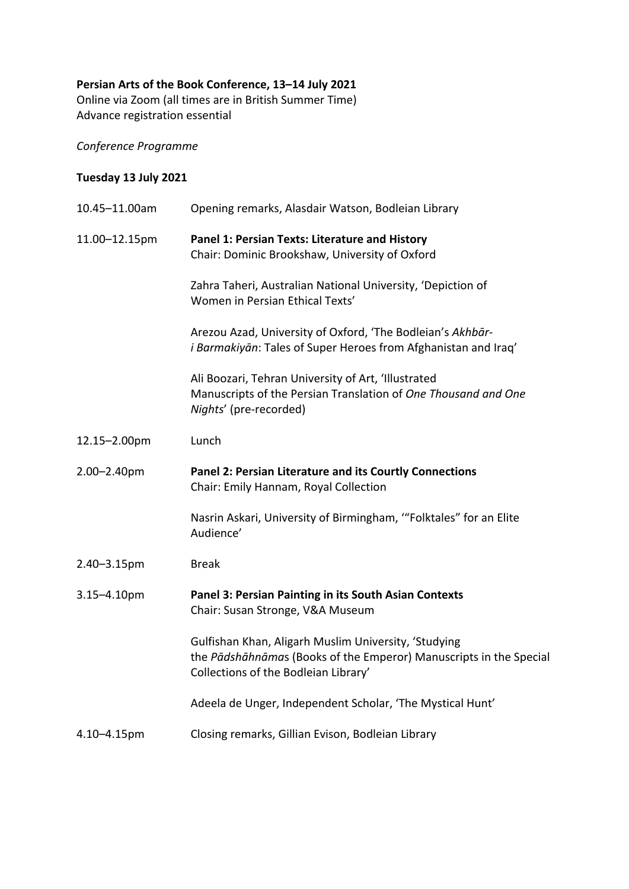## **Persian Arts of the Book Conference, 13–14 July 2021**

Online via Zoom (all times are in British Summer Time) Advance registration essential

*Conference Programme*

## **Tuesday 13 July 2021**

| 10.45-11.00am | Opening remarks, Alasdair Watson, Bodleian Library                                                                                                                 |
|---------------|--------------------------------------------------------------------------------------------------------------------------------------------------------------------|
| 11.00-12.15pm | Panel 1: Persian Texts: Literature and History<br>Chair: Dominic Brookshaw, University of Oxford                                                                   |
|               | Zahra Taheri, Australian National University, 'Depiction of<br>Women in Persian Ethical Texts'                                                                     |
|               | Arezou Azad, University of Oxford, 'The Bodleian's Akhbār-<br><i>i Barmakiyān</i> : Tales of Super Heroes from Afghanistan and Iraq'                               |
|               | Ali Boozari, Tehran University of Art, 'Illustrated<br>Manuscripts of the Persian Translation of One Thousand and One<br>Nights' (pre-recorded)                    |
| 12.15-2.00pm  | Lunch                                                                                                                                                              |
| 2.00-2.40pm   | Panel 2: Persian Literature and its Courtly Connections<br>Chair: Emily Hannam, Royal Collection                                                                   |
|               | Nasrin Askari, University of Birmingham, "Folktales" for an Elite<br>Audience'                                                                                     |
| 2.40-3.15pm   | <b>Break</b>                                                                                                                                                       |
| 3.15-4.10pm   | Panel 3: Persian Painting in its South Asian Contexts<br>Chair: Susan Stronge, V&A Museum                                                                          |
|               | Gulfishan Khan, Aligarh Muslim University, 'Studying<br>the Pādshāhnāmas (Books of the Emperor) Manuscripts in the Special<br>Collections of the Bodleian Library' |
|               | Adeela de Unger, Independent Scholar, 'The Mystical Hunt'                                                                                                          |
| 4.10-4.15pm   | Closing remarks, Gillian Evison, Bodleian Library                                                                                                                  |